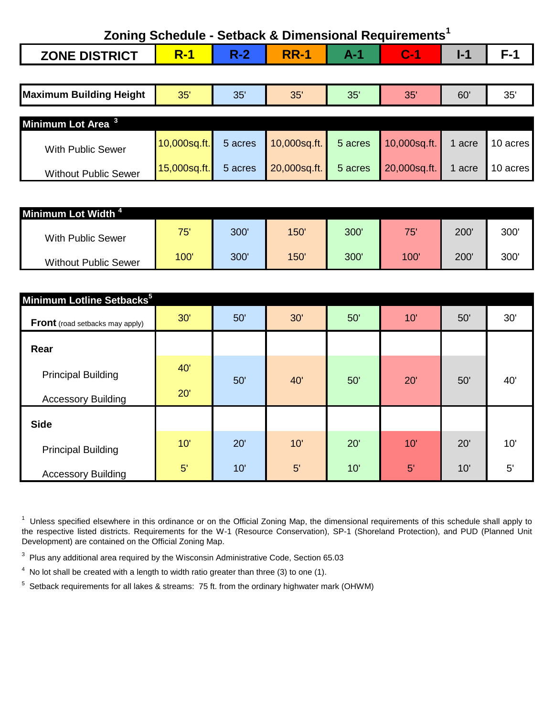| Zoning Schedule - Setback & Dimensional Requirements <sup>1</sup> |            |              |  |                |  |  |  |
|-------------------------------------------------------------------|------------|--------------|--|----------------|--|--|--|
| <b>ZONE DISTRICT</b>                                              | <b>R-1</b> | $R-2$ $RR-1$ |  | $\blacksquare$ |  |  |  |

| <b>Maximum Building Height</b> | 35'          | 35'     | 35'          | 35'     | 35'          | 60     | 35'      |
|--------------------------------|--------------|---------|--------------|---------|--------------|--------|----------|
| Minimum Lot Area <sup>3</sup>  |              |         |              |         |              |        |          |
| <b>With Public Sewer</b>       | 10,000sq.ft. | 5 acres | 10,000sq.ft. | 5 acres | 10,000sq.ft. | 1 acre | 10 acres |
| <b>Without Public Sewer</b>    | 15,000sq.ft. | 5 acres | 20,000sq.ft. | 5 acres | 20,000sq.ft. | 1 acre | 10 acres |

| Minimum Lot Width <sup>4</sup> |      |      |     |     |      |     |      |
|--------------------------------|------|------|-----|-----|------|-----|------|
| <b>With Public Sewer</b>       | 75'  | 300' | 150 | 300 | 75'  | 200 | 300  |
| <b>Without Public Sewer</b>    | 100' | 300' | 150 | 300 | 100' | 200 | 300' |

| Minimum Lotline Setbacks <sup>5</sup>                  |            |     |     |     |     |     |     |
|--------------------------------------------------------|------------|-----|-----|-----|-----|-----|-----|
| <b>Front</b> (road setbacks may apply)                 | 30'        | 50' | 30' | 50' | 10' | 50' | 30' |
| Rear                                                   |            |     |     |     |     |     |     |
| <b>Principal Building</b><br><b>Accessory Building</b> | 40'<br>20' | 50' | 40' | 50' | 20' | 50' | 40' |
| <b>Side</b>                                            |            |     |     |     |     |     |     |
| <b>Principal Building</b>                              | 10'        | 20' | 10' | 20' | 10' | 20' | 10' |
| <b>Accessory Building</b>                              | 5'         | 10' | 5'  | 10' | 5'  | 10' | 5'  |

<sup>1</sup> Unless specified elsewhere in this ordinance or on the Official Zoning Map, the dimensional requirements of this schedule shall apply to the respective listed districts. Requirements for the W-1 (Resource Conservation), SP-1 (Shoreland Protection), and PUD (Planned Unit Development) are contained on the Official Zoning Map.

 $3$  Plus any additional area required by the Wisconsin Administrative Code, Section 65.03

 $4\,$  No lot shall be created with a length to width ratio greater than three (3) to one (1).

 $5$  Setback requirements for all lakes & streams: 75 ft. from the ordinary highwater mark (OHWM)